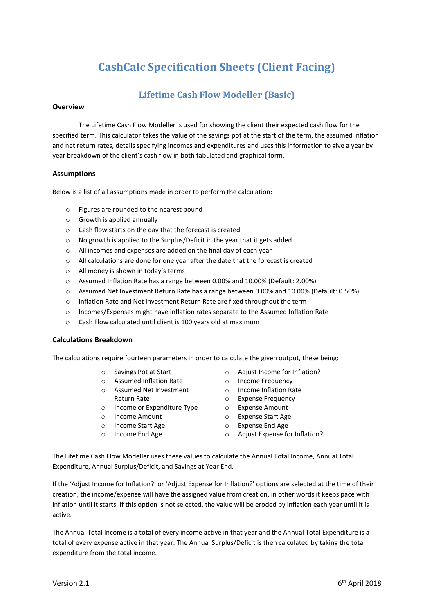# **CashCalc Specification Sheets (Client Facing)**

# **Lifetime Cash Flow Modeller (Basic)**

## **Overview**

The Lifetime Cash Flow Modeller is used for showing the client their expected cash flow for the specified term. This calculator takes the value of the savings pot at the start of the term, the assumed inflation and net return rates, details specifying incomes and expenditures and uses this information to give a year by year breakdown of the client's cash flow in both tabulated and graphical form.

### **Assumptions**

Below is a list of all assumptions made in order to perform the calculation:

- o Figures are rounded to the nearest pound
- o Growth is applied annually
- o Cash flow starts on the day that the forecast is created
- o No growth is applied to the Surplus/Deficit in the year that it gets added
- o All incomes and expenses are added on the final day of each year
- o All calculations are done for one year after the date that the forecast is created
- o All money is shown in today's terms
- o Assumed Inflation Rate has a range between 0.00% and 10.00% (Default: 2.00%)
- o Assumed Net Investment Return Rate has a range between 0.00% and 10.00% (Default: 0.50%)
- o Inflation Rate and Net Investment Return Rate are fixed throughout the term
- o Incomes/Expenses might have inflation rates separate to the Assumed Inflation Rate
- o Cash Flow calculated until client is 100 years old at maximum

### **Calculations Breakdown**

The calculations require fourteen parameters in order to calculate the given output, these being:

- o Savings Pot at Start
- o Assumed Inflation Rate
- o Assumed Net Investment Return Rate
- o Income or Expenditure Type
- o Income Amount
- o Income Start Age
- o Income End Age
- o Adjust Income for Inflation?
- o Income Frequency
- o Income Inflation Rate
- o Expense Frequency
- o Expense Amount
- o Expense Start Age
- o Expense End Age
- o Adjust Expense for Inflation?

The Lifetime Cash Flow Modeller uses these values to calculate the Annual Total Income, Annual Total Expenditure, Annual Surplus/Deficit, and Savings at Year End.

If the 'Adjust Income for Inflation?' or 'Adjust Expense for Inflation?' options are selected at the time of their creation, the income/expense will have the assigned value from creation, in other words it keeps pace with inflation until it starts. If this option is not selected, the value will be eroded by inflation each year until it is active.

The Annual Total Income is a total of every income active in that year and the Annual Total Expenditure is a total of every expense active in that year. The Annual Surplus/Deficit is then calculated by taking the total expenditure from the total income.